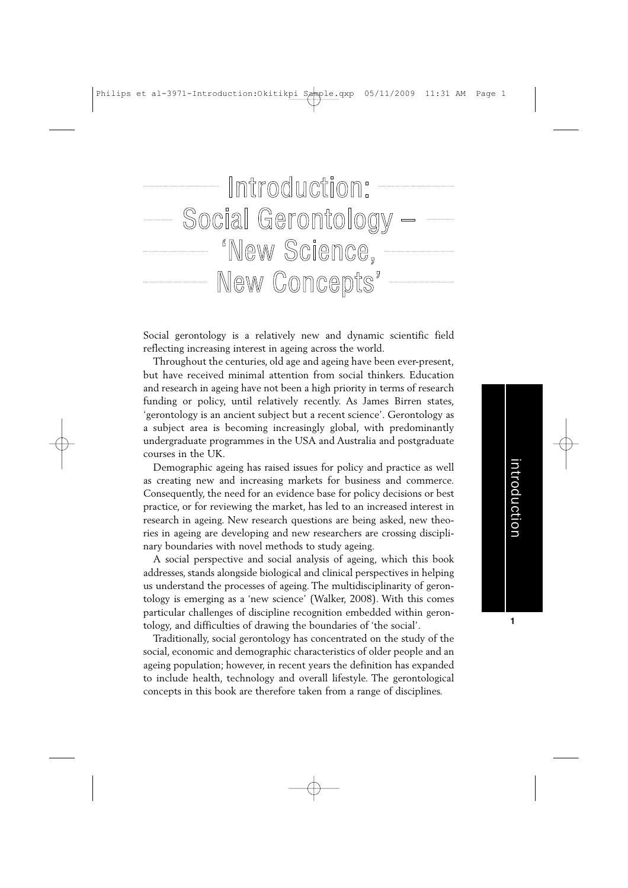

Social gerontology is a relatively new and dynamic scientific field reflecting increasing interest in ageing across the world.

Throughout the centuries, old age and ageing have been ever-present, but have received minimal attention from social thinkers. Education and research in ageing have not been a high priority in terms of research funding or policy, until relatively recently. As James Birren states, 'gerontology is an ancient subject but a recent science'. Gerontology as a subject area is becoming increasingly global, with predominantly undergraduate programmes in the USA and Australia and postgraduate courses in the UK.

Demographic ageing has raised issues for policy and practice as well as creating new and increasing markets for business and commerce. Consequently, the need for an evidence base for policy decisions or best practice, or for reviewing the market, has led to an increased interest in research in ageing. New research questions are being asked, new theories in ageing are developing and new researchers are crossing disciplinary boundaries with novel methods to study ageing.

A social perspective and social analysis of ageing, which this book addresses, stands alongside biological and clinical perspectives in helping us understand the processes of ageing. The multidisciplinarity of gerontology is emerging as a 'new science' (Walker, 2008). With this comes particular challenges of discipline recognition embedded within gerontology, and difficulties of drawing the boundaries of 'the social'.

Traditionally, social gerontology has concentrated on the study of the social, economic and demographic characteristics of older people and an ageing population; however, in recent years the definition has expanded to include health, technology and overall lifestyle. The gerontological concepts in this book are therefore taken from a range of disciplines.

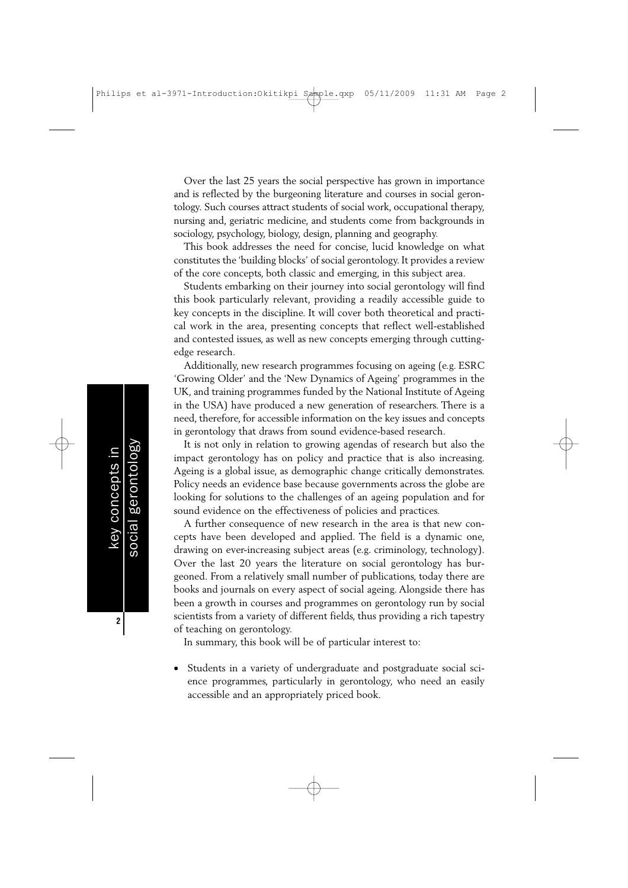Over the last 25 years the social perspective has grown in importance and is reflected by the burgeoning literature and courses in social gerontology. Such courses attract students of social work, occupational therapy, nursing and, geriatric medicine, and students come from backgrounds in sociology, psychology, biology, design, planning and geography.

This book addresses the need for concise, lucid knowledge on what constitutes the 'building blocks' of social gerontology. It provides a review of the core concepts, both classic and emerging, in this subject area.

Students embarking on their journey into social gerontology will find this book particularly relevant, providing a readily accessible guide to key concepts in the discipline. It will cover both theoretical and practical work in the area, presenting concepts that reflect well-established and contested issues, as well as new concepts emerging through cuttingedge research.

Additionally, new research programmes focusing on ageing (e.g. ESRC 'Growing Older' and the 'New Dynamics of Ageing' programmes in the UK, and training programmes funded by the National Institute of Ageing in the USA) have produced a new generation of researchers. There is a need, therefore, for accessible information on the key issues and concepts in gerontology that draws from sound evidence-based research.

It is not only in relation to growing agendas of research but also the impact gerontology has on policy and practice that is also increasing. Ageing is a global issue, as demographic change critically demonstrates. Policy needs an evidence base because governments across the globe are looking for solutions to the challenges of an ageing population and for sound evidence on the effectiveness of policies and practices.

A further consequence of new research in the area is that new concepts have been developed and applied. The field is a dynamic one, drawing on ever-increasing subject areas (e.g. criminology, technology). Over the last 20 years the literature on social gerontology has burgeoned. From a relatively small number of publications, today there are books and journals on every aspect of social ageing. Alongside there has been a growth in courses and programmes on gerontology run by social scientists from a variety of different fields, thus providing a rich tapestry of teaching on gerontology.

In summary, this book will be of particular interest to:

key concepts in social gerontology

key concepts in

gerontology

social

**2**

Students in a variety of undergraduate and postgraduate social science programmes, particularly in gerontology, who need an easily accessible and an appropriately priced book.